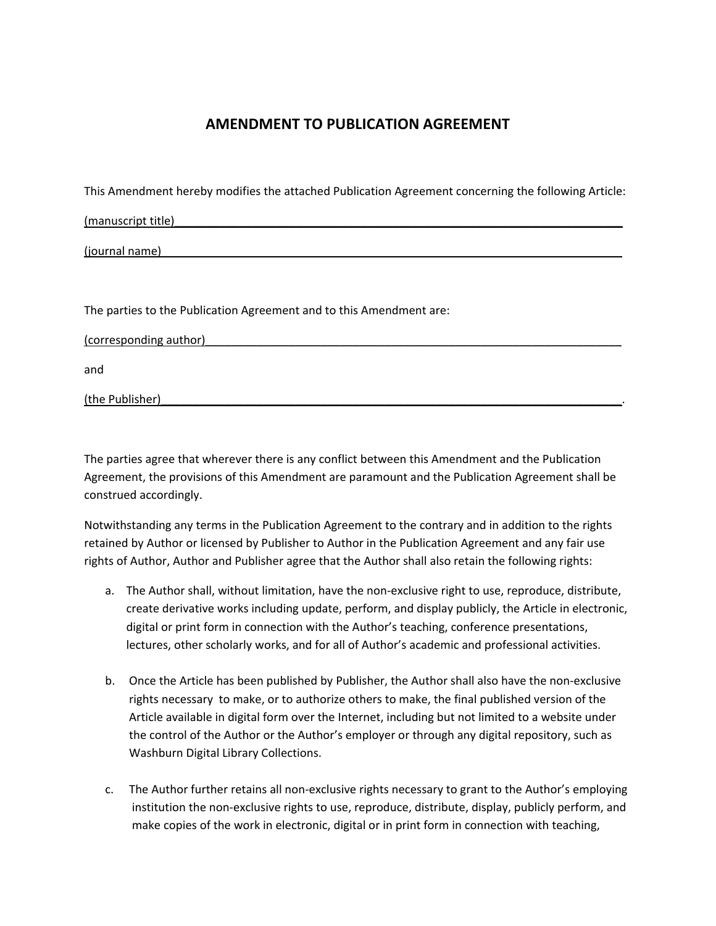## **AMENDMENT TO PUBLICATION AGREEMENT**

This Amendment hereby modifies the attached Publication Agreement concerning the following Article:

(manuscript title)\_\_\_\_\_\_\_\_\_\_\_\_\_\_\_\_\_\_\_\_\_\_\_\_\_\_\_\_\_\_\_\_\_\_\_\_\_\_\_\_\_\_\_\_\_\_\_\_\_\_\_\_\_\_\_\_\_\_\_\_\_\_\_\_\_\_\_\_\_\_

 $(journal name)$ 

The parties to the Publication Agreement and to this Amendment are:

| (corresponding author) |  |  |
|------------------------|--|--|
| and                    |  |  |
| (the Publisher)        |  |  |

The parties agree that wherever there is any conflict between this Amendment and the Publication Agreement, the provisions of this Amendment are paramount and the Publication Agreement shall be construed accordingly.

Notwithstanding any terms in the Publication Agreement to the contrary and in addition to the rights retained by Author or licensed by Publisher to Author in the Publication Agreement and any fair use rights of Author, Author and Publisher agree that the Author shall also retain the following rights:

- a. The Author shall, without limitation, have the non‐exclusive right to use, reproduce, distribute, create derivative works including update, perform, and display publicly, the Article in electronic, digital or print form in connection with the Author's teaching, conference presentations, lectures, other scholarly works, and for all of Author's academic and professional activities.
- b. Once the Article has been published by Publisher, the Author shall also have the non-exclusive rights necessary to make, or to authorize others to make, the final published version of the Article available in digital form over the Internet, including but not limited to a website under the control of the Author or the Author's employer or through any digital repository, such as Washburn Digital Library Collections.
- c. The Author further retains all non‐exclusive rights necessary to grant to the Author's employing institution the non‐exclusive rights to use, reproduce, distribute, display, publicly perform, and make copies of the work in electronic, digital or in print form in connection with teaching,